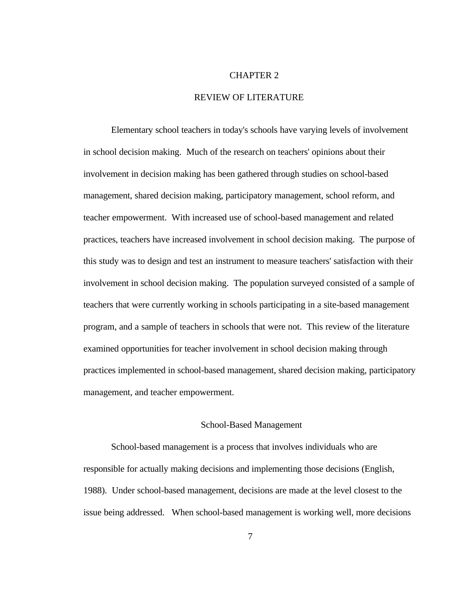#### CHAPTER 2

## REVIEW OF LITERATURE

Elementary school teachers in today's schools have varying levels of involvement in school decision making. Much of the research on teachers' opinions about their involvement in decision making has been gathered through studies on school-based management, shared decision making, participatory management, school reform, and teacher empowerment. With increased use of school-based management and related practices, teachers have increased involvement in school decision making. The purpose of this study was to design and test an instrument to measure teachers' satisfaction with their involvement in school decision making. The population surveyed consisted of a sample of teachers that were currently working in schools participating in a site-based management program, and a sample of teachers in schools that were not. This review of the literature examined opportunities for teacher involvement in school decision making through practices implemented in school-based management, shared decision making, participatory management, and teacher empowerment.

### School-Based Management

 School-based management is a process that involves individuals who are responsible for actually making decisions and implementing those decisions (English, 1988). Under school-based management, decisions are made at the level closest to the issue being addressed. When school-based management is working well, more decisions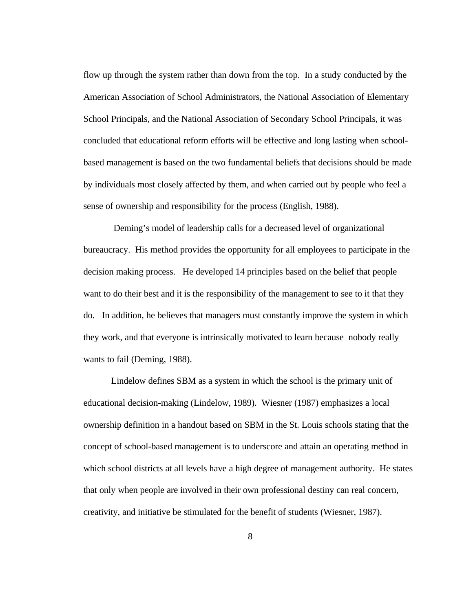flow up through the system rather than down from the top. In a study conducted by the American Association of School Administrators, the National Association of Elementary School Principals, and the National Association of Secondary School Principals, it was concluded that educational reform efforts will be effective and long lasting when schoolbased management is based on the two fundamental beliefs that decisions should be made by individuals most closely affected by them, and when carried out by people who feel a sense of ownership and responsibility for the process (English, 1988).

 Deming's model of leadership calls for a decreased level of organizational bureaucracy. His method provides the opportunity for all employees to participate in the decision making process. He developed 14 principles based on the belief that people want to do their best and it is the responsibility of the management to see to it that they do. In addition, he believes that managers must constantly improve the system in which they work, and that everyone is intrinsically motivated to learn because nobody really wants to fail (Deming, 1988).

Lindelow defines SBM as a system in which the school is the primary unit of educational decision-making (Lindelow, 1989). Wiesner (1987) emphasizes a local ownership definition in a handout based on SBM in the St. Louis schools stating that the concept of school-based management is to underscore and attain an operating method in which school districts at all levels have a high degree of management authority. He states that only when people are involved in their own professional destiny can real concern, creativity, and initiative be stimulated for the benefit of students (Wiesner, 1987).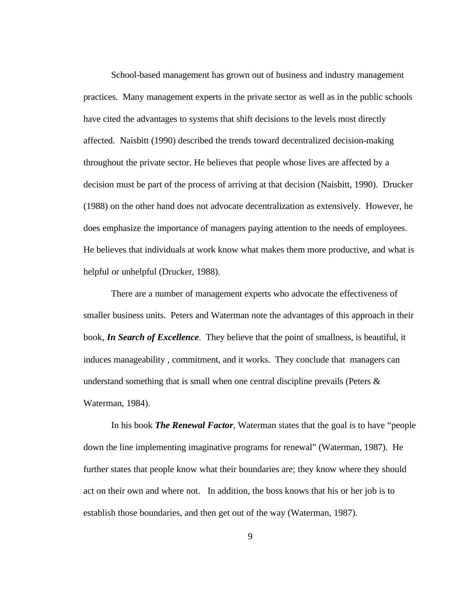School-based management has grown out of business and industry management practices. Many management experts in the private sector as well as in the public schools have cited the advantages to systems that shift decisions to the levels most directly affected. Naisbitt (1990) described the trends toward decentralized decision-making throughout the private sector. He believes that people whose lives are affected by a decision must be part of the process of arriving at that decision (Naisbitt, 1990). Drucker (1988) on the other hand does not advocate decentralization as extensively. However, he does emphasize the importance of managers paying attention to the needs of employees. He believes that individuals at work know what makes them more productive, and what is helpful or unhelpful (Drucker, 1988).

There are a number of management experts who advocate the effectiveness of smaller business units. Peters and Waterman note the advantages of this approach in their book, *In Search of Excellence*. They believe that the point of smallness, is beautiful, it induces manageability , commitment, and it works. They conclude that managers can understand something that is small when one central discipline prevails (Peters  $\&$ Waterman, 1984).

In his book *The Renewal Factor*, Waterman states that the goal is to have "people down the line implementing imaginative programs for renewal" (Waterman, 1987). He further states that people know what their boundaries are; they know where they should act on their own and where not. In addition, the boss knows that his or her job is to establish those boundaries, and then get out of the way (Waterman, 1987).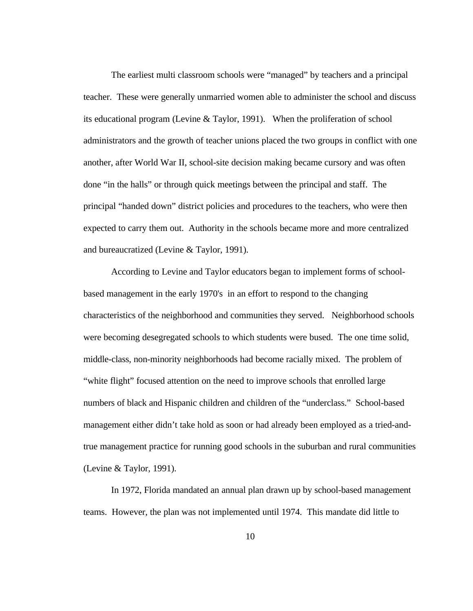The earliest multi classroom schools were "managed" by teachers and a principal teacher. These were generally unmarried women able to administer the school and discuss its educational program (Levine & Taylor, 1991). When the proliferation of school administrators and the growth of teacher unions placed the two groups in conflict with one another, after World War II, school-site decision making became cursory and was often done "in the halls" or through quick meetings between the principal and staff. The principal "handed down" district policies and procedures to the teachers, who were then expected to carry them out. Authority in the schools became more and more centralized and bureaucratized (Levine & Taylor, 1991).

 According to Levine and Taylor educators began to implement forms of schoolbased management in the early 1970's in an effort to respond to the changing characteristics of the neighborhood and communities they served. Neighborhood schools were becoming desegregated schools to which students were bused. The one time solid, middle-class, non-minority neighborhoods had become racially mixed. The problem of "white flight" focused attention on the need to improve schools that enrolled large numbers of black and Hispanic children and children of the "underclass." School-based management either didn't take hold as soon or had already been employed as a tried-andtrue management practice for running good schools in the suburban and rural communities (Levine & Taylor, 1991).

In 1972, Florida mandated an annual plan drawn up by school-based management teams. However, the plan was not implemented until 1974. This mandate did little to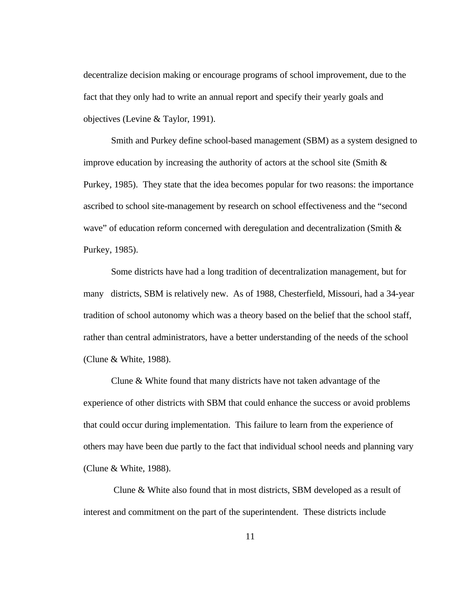decentralize decision making or encourage programs of school improvement, due to the fact that they only had to write an annual report and specify their yearly goals and objectives (Levine & Taylor, 1991).

Smith and Purkey define school-based management (SBM) as a system designed to improve education by increasing the authority of actors at the school site (Smith  $\&$ Purkey, 1985). They state that the idea becomes popular for two reasons: the importance ascribed to school site-management by research on school effectiveness and the "second wave" of education reform concerned with deregulation and decentralization (Smith  $\&$ Purkey, 1985).

Some districts have had a long tradition of decentralization management, but for many districts, SBM is relatively new. As of 1988, Chesterfield, Missouri, had a 34-year tradition of school autonomy which was a theory based on the belief that the school staff, rather than central administrators, have a better understanding of the needs of the school (Clune & White, 1988).

Clune & White found that many districts have not taken advantage of the experience of other districts with SBM that could enhance the success or avoid problems that could occur during implementation. This failure to learn from the experience of others may have been due partly to the fact that individual school needs and planning vary (Clune & White, 1988).

 Clune & White also found that in most districts, SBM developed as a result of interest and commitment on the part of the superintendent. These districts include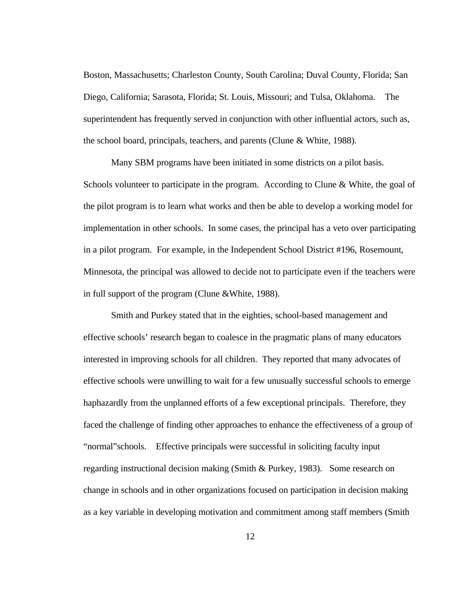Boston, Massachusetts; Charleston County, South Carolina; Duval County, Florida; San Diego, California; Sarasota, Florida; St. Louis, Missouri; and Tulsa, Oklahoma. The superintendent has frequently served in conjunction with other influential actors, such as, the school board, principals, teachers, and parents (Clune & White, 1988).

Many SBM programs have been initiated in some districts on a pilot basis. Schools volunteer to participate in the program. According to Clune & White, the goal of the pilot program is to learn what works and then be able to develop a working model for implementation in other schools. In some cases, the principal has a veto over participating in a pilot program. For example, in the Independent School District #196, Rosemount, Minnesota, the principal was allowed to decide not to participate even if the teachers were in full support of the program (Clune &White, 1988).

Smith and Purkey stated that in the eighties, school-based management and effective schools' research began to coalesce in the pragmatic plans of many educators interested in improving schools for all children. They reported that many advocates of effective schools were unwilling to wait for a few unusually successful schools to emerge haphazardly from the unplanned efforts of a few exceptional principals. Therefore, they faced the challenge of finding other approaches to enhance the effectiveness of a group of "normal"schools. Effective principals were successful in soliciting faculty input regarding instructional decision making (Smith & Purkey, 1983). Some research on change in schools and in other organizations focused on participation in decision making as a key variable in developing motivation and commitment among staff members (Smith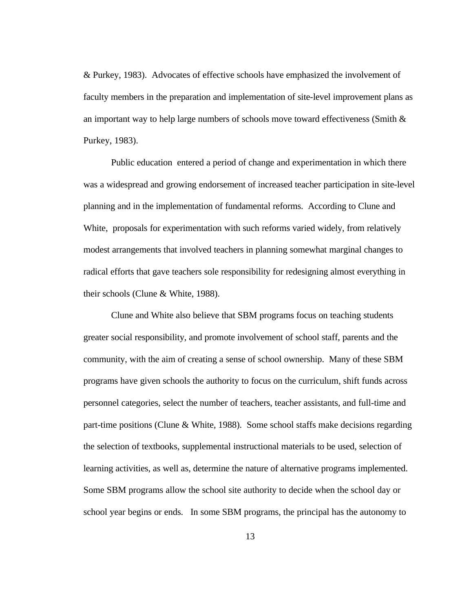& Purkey, 1983). Advocates of effective schools have emphasized the involvement of faculty members in the preparation and implementation of site-level improvement plans as an important way to help large numbers of schools move toward effectiveness (Smith  $\&$ Purkey, 1983).

Public education entered a period of change and experimentation in which there was a widespread and growing endorsement of increased teacher participation in site-level planning and in the implementation of fundamental reforms. According to Clune and White, proposals for experimentation with such reforms varied widely, from relatively modest arrangements that involved teachers in planning somewhat marginal changes to radical efforts that gave teachers sole responsibility for redesigning almost everything in their schools (Clune & White, 1988).

Clune and White also believe that SBM programs focus on teaching students greater social responsibility, and promote involvement of school staff, parents and the community, with the aim of creating a sense of school ownership. Many of these SBM programs have given schools the authority to focus on the curriculum, shift funds across personnel categories, select the number of teachers, teacher assistants, and full-time and part-time positions (Clune & White, 1988). Some school staffs make decisions regarding the selection of textbooks, supplemental instructional materials to be used, selection of learning activities, as well as, determine the nature of alternative programs implemented. Some SBM programs allow the school site authority to decide when the school day or school year begins or ends. In some SBM programs, the principal has the autonomy to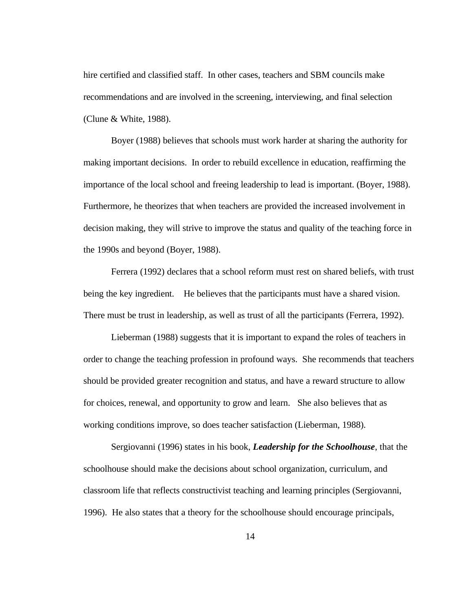hire certified and classified staff. In other cases, teachers and SBM councils make recommendations and are involved in the screening, interviewing, and final selection (Clune & White, 1988).

Boyer (1988) believes that schools must work harder at sharing the authority for making important decisions. In order to rebuild excellence in education, reaffirming the importance of the local school and freeing leadership to lead is important. (Boyer, 1988). Furthermore, he theorizes that when teachers are provided the increased involvement in decision making, they will strive to improve the status and quality of the teaching force in the 1990s and beyond (Boyer, 1988).

Ferrera (1992) declares that a school reform must rest on shared beliefs, with trust being the key ingredient. He believes that the participants must have a shared vision. There must be trust in leadership, as well as trust of all the participants (Ferrera, 1992).

Lieberman (1988) suggests that it is important to expand the roles of teachers in order to change the teaching profession in profound ways. She recommends that teachers should be provided greater recognition and status, and have a reward structure to allow for choices, renewal, and opportunity to grow and learn. She also believes that as working conditions improve, so does teacher satisfaction (Lieberman, 1988).

Sergiovanni (1996) states in his book, *Leadership for the Schoolhouse*, that the schoolhouse should make the decisions about school organization, curriculum, and classroom life that reflects constructivist teaching and learning principles (Sergiovanni, 1996). He also states that a theory for the schoolhouse should encourage principals,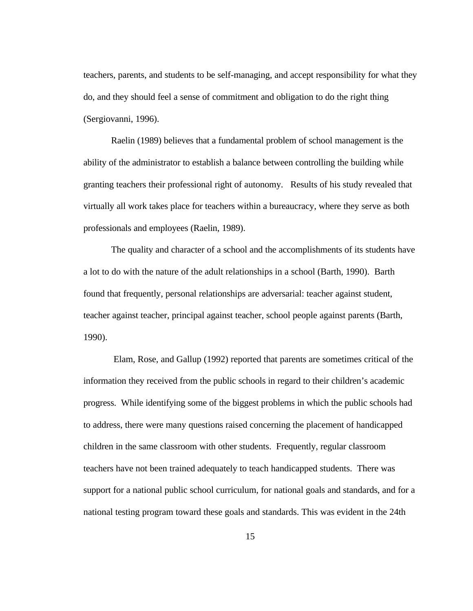teachers, parents, and students to be self-managing, and accept responsibility for what they do, and they should feel a sense of commitment and obligation to do the right thing (Sergiovanni, 1996).

Raelin (1989) believes that a fundamental problem of school management is the ability of the administrator to establish a balance between controlling the building while granting teachers their professional right of autonomy. Results of his study revealed that virtually all work takes place for teachers within a bureaucracy, where they serve as both professionals and employees (Raelin, 1989).

The quality and character of a school and the accomplishments of its students have a lot to do with the nature of the adult relationships in a school (Barth, 1990). Barth found that frequently, personal relationships are adversarial: teacher against student, teacher against teacher, principal against teacher, school people against parents (Barth, 1990).

 Elam, Rose, and Gallup (1992) reported that parents are sometimes critical of the information they received from the public schools in regard to their children's academic progress. While identifying some of the biggest problems in which the public schools had to address, there were many questions raised concerning the placement of handicapped children in the same classroom with other students. Frequently, regular classroom teachers have not been trained adequately to teach handicapped students. There was support for a national public school curriculum, for national goals and standards, and for a national testing program toward these goals and standards. This was evident in the 24th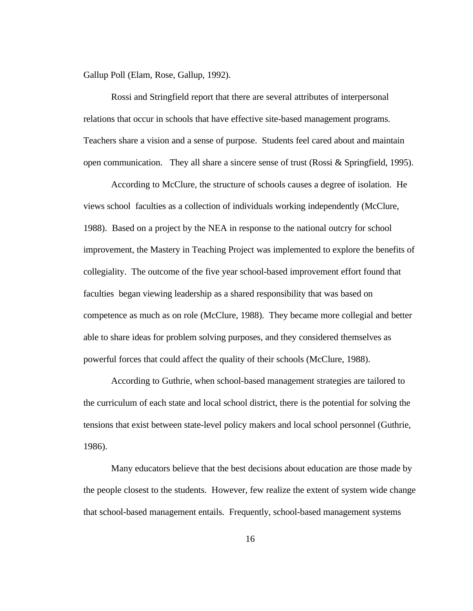Gallup Poll (Elam, Rose, Gallup, 1992).

Rossi and Stringfield report that there are several attributes of interpersonal relations that occur in schools that have effective site-based management programs. Teachers share a vision and a sense of purpose. Students feel cared about and maintain open communication. They all share a sincere sense of trust (Rossi & Springfield, 1995).

According to McClure, the structure of schools causes a degree of isolation. He views school faculties as a collection of individuals working independently (McClure, 1988). Based on a project by the NEA in response to the national outcry for school improvement, the Mastery in Teaching Project was implemented to explore the benefits of collegiality. The outcome of the five year school-based improvement effort found that faculties began viewing leadership as a shared responsibility that was based on competence as much as on role (McClure, 1988). They became more collegial and better able to share ideas for problem solving purposes, and they considered themselves as powerful forces that could affect the quality of their schools (McClure, 1988).

According to Guthrie, when school-based management strategies are tailored to the curriculum of each state and local school district, there is the potential for solving the tensions that exist between state-level policy makers and local school personnel (Guthrie, 1986).

Many educators believe that the best decisions about education are those made by the people closest to the students. However, few realize the extent of system wide change that school-based management entails. Frequently, school-based management systems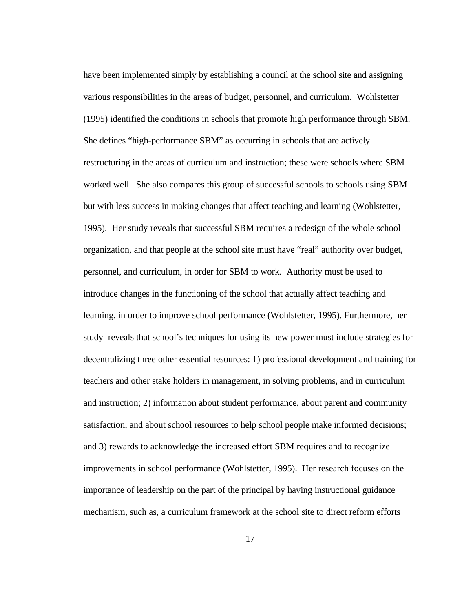have been implemented simply by establishing a council at the school site and assigning various responsibilities in the areas of budget, personnel, and curriculum. Wohlstetter (1995) identified the conditions in schools that promote high performance through SBM. She defines "high-performance SBM" as occurring in schools that are actively restructuring in the areas of curriculum and instruction; these were schools where SBM worked well. She also compares this group of successful schools to schools using SBM but with less success in making changes that affect teaching and learning (Wohlstetter, 1995). Her study reveals that successful SBM requires a redesign of the whole school organization, and that people at the school site must have "real" authority over budget, personnel, and curriculum, in order for SBM to work. Authority must be used to introduce changes in the functioning of the school that actually affect teaching and learning, in order to improve school performance (Wohlstetter, 1995). Furthermore, her study reveals that school's techniques for using its new power must include strategies for decentralizing three other essential resources: 1) professional development and training for teachers and other stake holders in management, in solving problems, and in curriculum and instruction; 2) information about student performance, about parent and community satisfaction, and about school resources to help school people make informed decisions; and 3) rewards to acknowledge the increased effort SBM requires and to recognize improvements in school performance (Wohlstetter, 1995). Her research focuses on the importance of leadership on the part of the principal by having instructional guidance mechanism, such as, a curriculum framework at the school site to direct reform efforts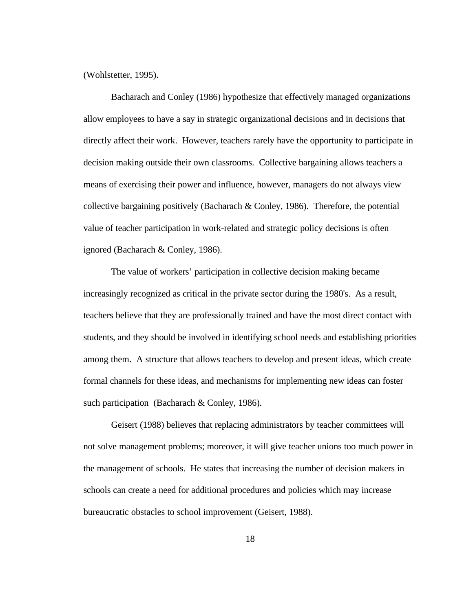(Wohlstetter, 1995).

 Bacharach and Conley (1986) hypothesize that effectively managed organizations allow employees to have a say in strategic organizational decisions and in decisions that directly affect their work. However, teachers rarely have the opportunity to participate in decision making outside their own classrooms. Collective bargaining allows teachers a means of exercising their power and influence, however, managers do not always view collective bargaining positively (Bacharach & Conley, 1986). Therefore, the potential value of teacher participation in work-related and strategic policy decisions is often ignored (Bacharach & Conley, 1986).

The value of workers' participation in collective decision making became increasingly recognized as critical in the private sector during the 1980's. As a result, teachers believe that they are professionally trained and have the most direct contact with students, and they should be involved in identifying school needs and establishing priorities among them. A structure that allows teachers to develop and present ideas, which create formal channels for these ideas, and mechanisms for implementing new ideas can foster such participation (Bacharach & Conley, 1986).

Geisert (1988) believes that replacing administrators by teacher committees will not solve management problems; moreover, it will give teacher unions too much power in the management of schools. He states that increasing the number of decision makers in schools can create a need for additional procedures and policies which may increase bureaucratic obstacles to school improvement (Geisert, 1988).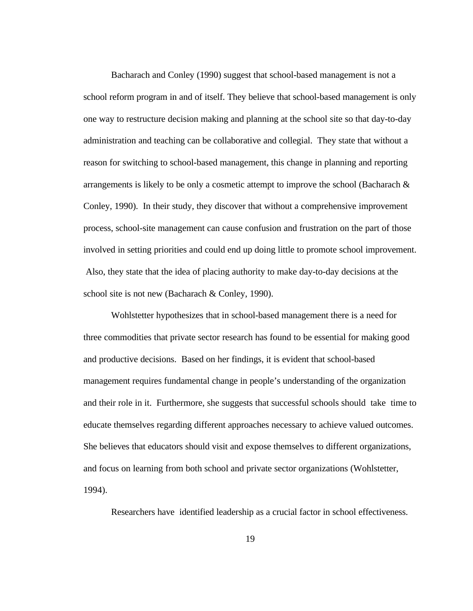Bacharach and Conley (1990) suggest that school-based management is not a school reform program in and of itself. They believe that school-based management is only one way to restructure decision making and planning at the school site so that day-to-day administration and teaching can be collaborative and collegial. They state that without a reason for switching to school-based management, this change in planning and reporting arrangements is likely to be only a cosmetic attempt to improve the school (Bacharach  $\&$ Conley, 1990). In their study, they discover that without a comprehensive improvement process, school-site management can cause confusion and frustration on the part of those involved in setting priorities and could end up doing little to promote school improvement. Also, they state that the idea of placing authority to make day-to-day decisions at the school site is not new (Bacharach & Conley, 1990).

Wohlstetter hypothesizes that in school-based management there is a need for three commodities that private sector research has found to be essential for making good and productive decisions. Based on her findings, it is evident that school-based management requires fundamental change in people's understanding of the organization and their role in it. Furthermore, she suggests that successful schools should take time to educate themselves regarding different approaches necessary to achieve valued outcomes. She believes that educators should visit and expose themselves to different organizations, and focus on learning from both school and private sector organizations (Wohlstetter, 1994).

Researchers have identified leadership as a crucial factor in school effectiveness.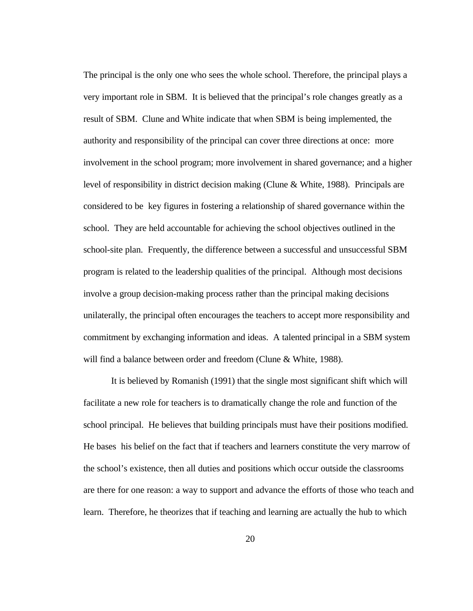The principal is the only one who sees the whole school. Therefore, the principal plays a very important role in SBM. It is believed that the principal's role changes greatly as a result of SBM. Clune and White indicate that when SBM is being implemented, the authority and responsibility of the principal can cover three directions at once: more involvement in the school program; more involvement in shared governance; and a higher level of responsibility in district decision making (Clune & White, 1988). Principals are considered to be key figures in fostering a relationship of shared governance within the school. They are held accountable for achieving the school objectives outlined in the school-site plan. Frequently, the difference between a successful and unsuccessful SBM program is related to the leadership qualities of the principal. Although most decisions involve a group decision-making process rather than the principal making decisions unilaterally, the principal often encourages the teachers to accept more responsibility and commitment by exchanging information and ideas. A talented principal in a SBM system will find a balance between order and freedom (Clune & White, 1988).

It is believed by Romanish (1991) that the single most significant shift which will facilitate a new role for teachers is to dramatically change the role and function of the school principal. He believes that building principals must have their positions modified. He bases his belief on the fact that if teachers and learners constitute the very marrow of the school's existence, then all duties and positions which occur outside the classrooms are there for one reason: a way to support and advance the efforts of those who teach and learn. Therefore, he theorizes that if teaching and learning are actually the hub to which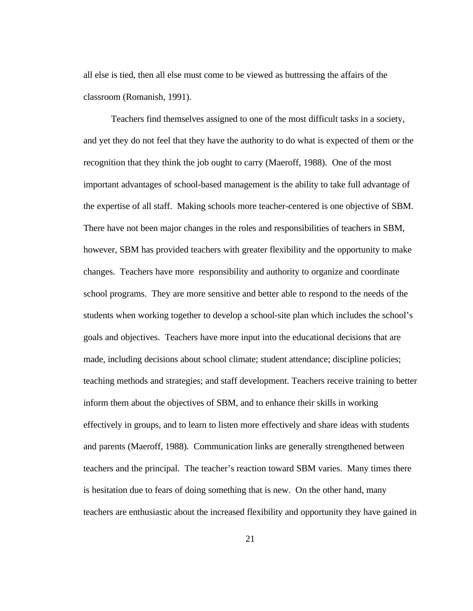all else is tied, then all else must come to be viewed as buttressing the affairs of the classroom (Romanish, 1991).

Teachers find themselves assigned to one of the most difficult tasks in a society, and yet they do not feel that they have the authority to do what is expected of them or the recognition that they think the job ought to carry (Maeroff, 1988). One of the most important advantages of school-based management is the ability to take full advantage of the expertise of all staff. Making schools more teacher-centered is one objective of SBM. There have not been major changes in the roles and responsibilities of teachers in SBM, however, SBM has provided teachers with greater flexibility and the opportunity to make changes. Teachers have more responsibility and authority to organize and coordinate school programs. They are more sensitive and better able to respond to the needs of the students when working together to develop a school-site plan which includes the school's goals and objectives. Teachers have more input into the educational decisions that are made, including decisions about school climate; student attendance; discipline policies; teaching methods and strategies; and staff development. Teachers receive training to better inform them about the objectives of SBM, and to enhance their skills in working effectively in groups, and to learn to listen more effectively and share ideas with students and parents (Maeroff, 1988). Communication links are generally strengthened between teachers and the principal. The teacher's reaction toward SBM varies. Many times there is hesitation due to fears of doing something that is new. On the other hand, many teachers are enthusiastic about the increased flexibility and opportunity they have gained in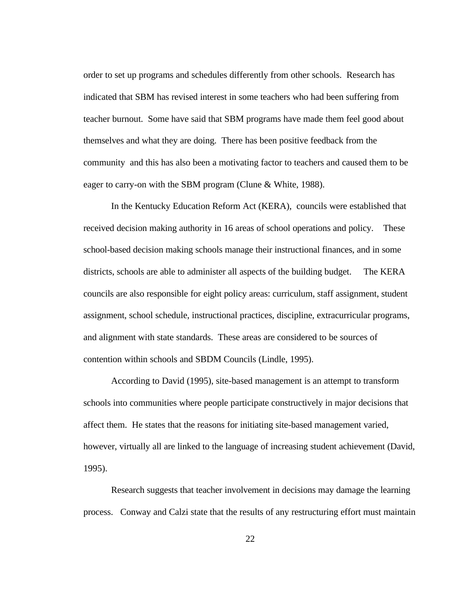order to set up programs and schedules differently from other schools. Research has indicated that SBM has revised interest in some teachers who had been suffering from teacher burnout. Some have said that SBM programs have made them feel good about themselves and what they are doing. There has been positive feedback from the community and this has also been a motivating factor to teachers and caused them to be eager to carry-on with the SBM program (Clune & White, 1988).

In the Kentucky Education Reform Act (KERA), councils were established that received decision making authority in 16 areas of school operations and policy. These school-based decision making schools manage their instructional finances, and in some districts, schools are able to administer all aspects of the building budget. The KERA councils are also responsible for eight policy areas: curriculum, staff assignment, student assignment, school schedule, instructional practices, discipline, extracurricular programs, and alignment with state standards. These areas are considered to be sources of contention within schools and SBDM Councils (Lindle, 1995).

According to David (1995), site-based management is an attempt to transform schools into communities where people participate constructively in major decisions that affect them. He states that the reasons for initiating site-based management varied, however, virtually all are linked to the language of increasing student achievement (David, 1995).

Research suggests that teacher involvement in decisions may damage the learning process. Conway and Calzi state that the results of any restructuring effort must maintain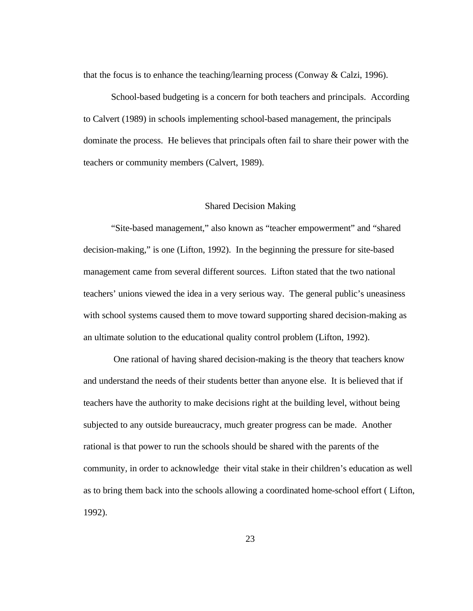that the focus is to enhance the teaching/learning process (Conway & Calzi, 1996).

School-based budgeting is a concern for both teachers and principals. According to Calvert (1989) in schools implementing school-based management, the principals dominate the process. He believes that principals often fail to share their power with the teachers or community members (Calvert, 1989).

### Shared Decision Making

"Site-based management," also known as "teacher empowerment" and "shared decision-making," is one (Lifton, 1992). In the beginning the pressure for site-based management came from several different sources. Lifton stated that the two national teachers' unions viewed the idea in a very serious way. The general public's uneasiness with school systems caused them to move toward supporting shared decision-making as an ultimate solution to the educational quality control problem (Lifton, 1992).

 One rational of having shared decision-making is the theory that teachers know and understand the needs of their students better than anyone else. It is believed that if teachers have the authority to make decisions right at the building level, without being subjected to any outside bureaucracy, much greater progress can be made. Another rational is that power to run the schools should be shared with the parents of the community, in order to acknowledge their vital stake in their children's education as well as to bring them back into the schools allowing a coordinated home-school effort ( Lifton, 1992).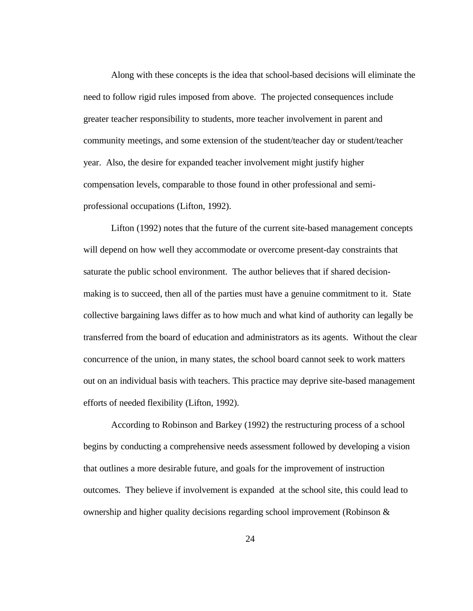Along with these concepts is the idea that school-based decisions will eliminate the need to follow rigid rules imposed from above. The projected consequences include greater teacher responsibility to students, more teacher involvement in parent and community meetings, and some extension of the student/teacher day or student/teacher year. Also, the desire for expanded teacher involvement might justify higher compensation levels, comparable to those found in other professional and semiprofessional occupations (Lifton, 1992).

Lifton (1992) notes that the future of the current site-based management concepts will depend on how well they accommodate or overcome present-day constraints that saturate the public school environment. The author believes that if shared decisionmaking is to succeed, then all of the parties must have a genuine commitment to it. State collective bargaining laws differ as to how much and what kind of authority can legally be transferred from the board of education and administrators as its agents. Without the clear concurrence of the union, in many states, the school board cannot seek to work matters out on an individual basis with teachers. This practice may deprive site-based management efforts of needed flexibility (Lifton, 1992).

According to Robinson and Barkey (1992) the restructuring process of a school begins by conducting a comprehensive needs assessment followed by developing a vision that outlines a more desirable future, and goals for the improvement of instruction outcomes. They believe if involvement is expanded at the school site, this could lead to ownership and higher quality decisions regarding school improvement (Robinson &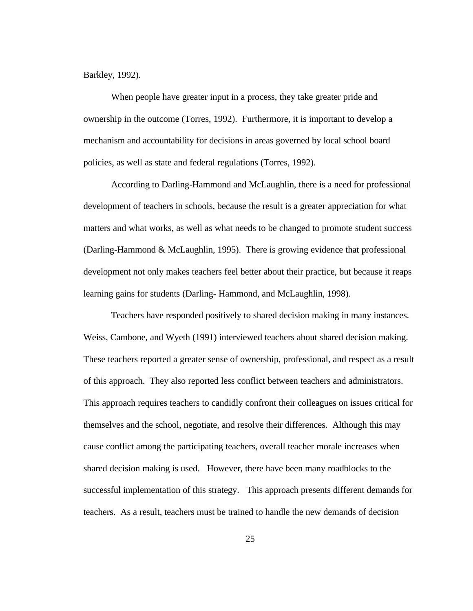Barkley, 1992).

When people have greater input in a process, they take greater pride and ownership in the outcome (Torres, 1992). Furthermore, it is important to develop a mechanism and accountability for decisions in areas governed by local school board policies, as well as state and federal regulations (Torres, 1992).

According to Darling-Hammond and McLaughlin, there is a need for professional development of teachers in schools, because the result is a greater appreciation for what matters and what works, as well as what needs to be changed to promote student success (Darling-Hammond & McLaughlin, 1995). There is growing evidence that professional development not only makes teachers feel better about their practice, but because it reaps learning gains for students (Darling- Hammond, and McLaughlin, 1998).

Teachers have responded positively to shared decision making in many instances. Weiss, Cambone, and Wyeth (1991) interviewed teachers about shared decision making. These teachers reported a greater sense of ownership, professional, and respect as a result of this approach. They also reported less conflict between teachers and administrators. This approach requires teachers to candidly confront their colleagues on issues critical for themselves and the school, negotiate, and resolve their differences. Although this may cause conflict among the participating teachers, overall teacher morale increases when shared decision making is used. However, there have been many roadblocks to the successful implementation of this strategy. This approach presents different demands for teachers. As a result, teachers must be trained to handle the new demands of decision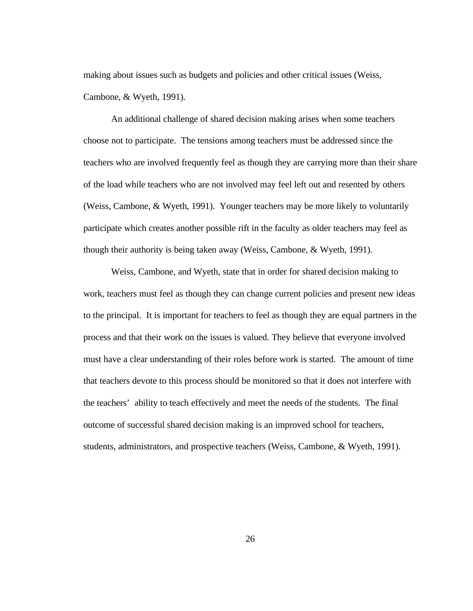making about issues such as budgets and policies and other critical issues (Weiss, Cambone, & Wyeth, 1991).

An additional challenge of shared decision making arises when some teachers choose not to participate. The tensions among teachers must be addressed since the teachers who are involved frequently feel as though they are carrying more than their share of the load while teachers who are not involved may feel left out and resented by others (Weiss, Cambone, & Wyeth, 1991). Younger teachers may be more likely to voluntarily participate which creates another possible rift in the faculty as older teachers may feel as though their authority is being taken away (Weiss, Cambone, & Wyeth, 1991).

Weiss, Cambone, and Wyeth, state that in order for shared decision making to work, teachers must feel as though they can change current policies and present new ideas to the principal. It is important for teachers to feel as though they are equal partners in the process and that their work on the issues is valued. They believe that everyone involved must have a clear understanding of their roles before work is started. The amount of time that teachers devote to this process should be monitored so that it does not interfere with the teachers' ability to teach effectively and meet the needs of the students. The final outcome of successful shared decision making is an improved school for teachers, students, administrators, and prospective teachers (Weiss, Cambone, & Wyeth, 1991).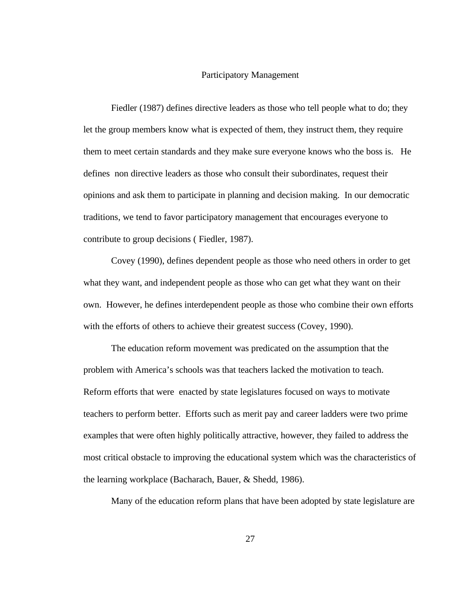### Participatory Management

Fiedler (1987) defines directive leaders as those who tell people what to do; they let the group members know what is expected of them, they instruct them, they require them to meet certain standards and they make sure everyone knows who the boss is. He defines non directive leaders as those who consult their subordinates, request their opinions and ask them to participate in planning and decision making. In our democratic traditions, we tend to favor participatory management that encourages everyone to contribute to group decisions ( Fiedler, 1987).

Covey (1990), defines dependent people as those who need others in order to get what they want, and independent people as those who can get what they want on their own. However, he defines interdependent people as those who combine their own efforts with the efforts of others to achieve their greatest success (Covey, 1990).

The education reform movement was predicated on the assumption that the problem with America's schools was that teachers lacked the motivation to teach. Reform efforts that were enacted by state legislatures focused on ways to motivate teachers to perform better. Efforts such as merit pay and career ladders were two prime examples that were often highly politically attractive, however, they failed to address the most critical obstacle to improving the educational system which was the characteristics of the learning workplace (Bacharach, Bauer, & Shedd, 1986).

Many of the education reform plans that have been adopted by state legislature are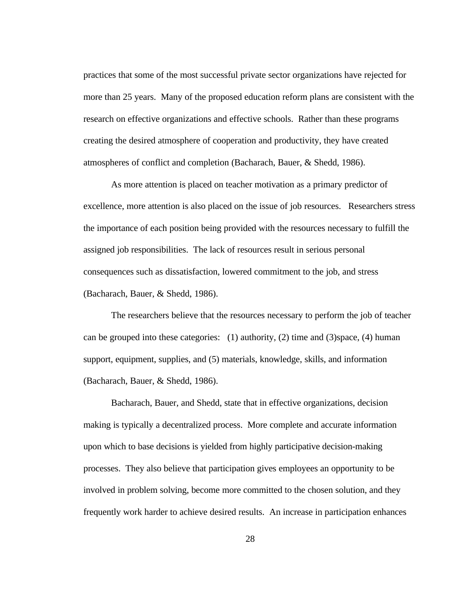practices that some of the most successful private sector organizations have rejected for more than 25 years. Many of the proposed education reform plans are consistent with the research on effective organizations and effective schools. Rather than these programs creating the desired atmosphere of cooperation and productivity, they have created atmospheres of conflict and completion (Bacharach, Bauer, & Shedd, 1986).

As more attention is placed on teacher motivation as a primary predictor of excellence, more attention is also placed on the issue of job resources. Researchers stress the importance of each position being provided with the resources necessary to fulfill the assigned job responsibilities. The lack of resources result in serious personal consequences such as dissatisfaction, lowered commitment to the job, and stress (Bacharach, Bauer, & Shedd, 1986).

The researchers believe that the resources necessary to perform the job of teacher can be grouped into these categories: (1) authority, (2) time and (3)space, (4) human support, equipment, supplies, and (5) materials, knowledge, skills, and information (Bacharach, Bauer, & Shedd, 1986).

Bacharach, Bauer, and Shedd, state that in effective organizations, decision making is typically a decentralized process. More complete and accurate information upon which to base decisions is yielded from highly participative decision-making processes. They also believe that participation gives employees an opportunity to be involved in problem solving, become more committed to the chosen solution, and they frequently work harder to achieve desired results. An increase in participation enhances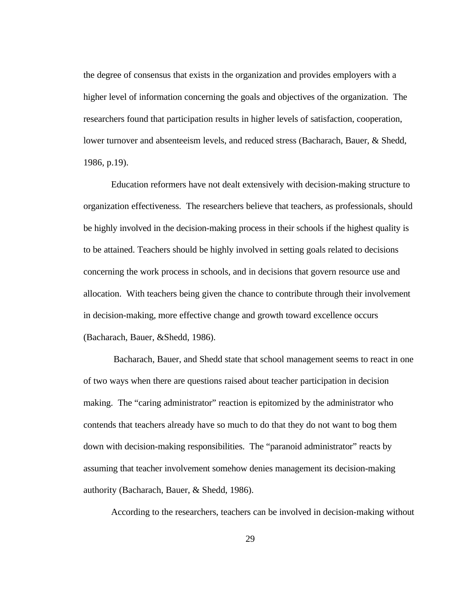the degree of consensus that exists in the organization and provides employers with a higher level of information concerning the goals and objectives of the organization. The researchers found that participation results in higher levels of satisfaction, cooperation, lower turnover and absenteeism levels, and reduced stress (Bacharach, Bauer, & Shedd, 1986, p.19).

Education reformers have not dealt extensively with decision-making structure to organization effectiveness. The researchers believe that teachers, as professionals, should be highly involved in the decision-making process in their schools if the highest quality is to be attained. Teachers should be highly involved in setting goals related to decisions concerning the work process in schools, and in decisions that govern resource use and allocation. With teachers being given the chance to contribute through their involvement in decision-making, more effective change and growth toward excellence occurs (Bacharach, Bauer, &Shedd, 1986).

 Bacharach, Bauer, and Shedd state that school management seems to react in one of two ways when there are questions raised about teacher participation in decision making. The "caring administrator" reaction is epitomized by the administrator who contends that teachers already have so much to do that they do not want to bog them down with decision-making responsibilities. The "paranoid administrator" reacts by assuming that teacher involvement somehow denies management its decision-making authority (Bacharach, Bauer, & Shedd, 1986).

According to the researchers, teachers can be involved in decision-making without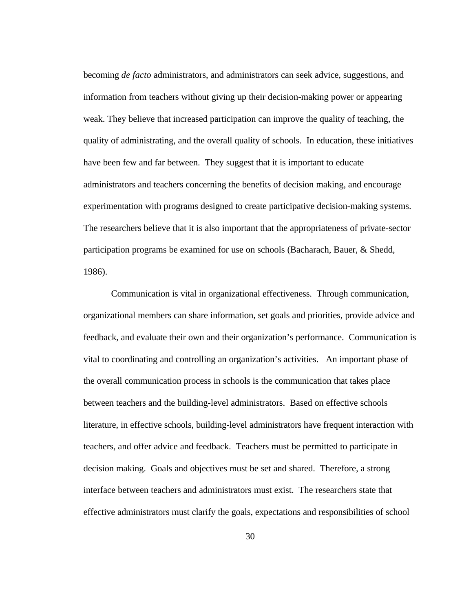becoming *de facto* administrators, and administrators can seek advice, suggestions, and information from teachers without giving up their decision-making power or appearing weak. They believe that increased participation can improve the quality of teaching, the quality of administrating, and the overall quality of schools. In education, these initiatives have been few and far between. They suggest that it is important to educate administrators and teachers concerning the benefits of decision making, and encourage experimentation with programs designed to create participative decision-making systems. The researchers believe that it is also important that the appropriateness of private-sector participation programs be examined for use on schools (Bacharach, Bauer, & Shedd, 1986).

Communication is vital in organizational effectiveness. Through communication, organizational members can share information, set goals and priorities, provide advice and feedback, and evaluate their own and their organization's performance. Communication is vital to coordinating and controlling an organization's activities. An important phase of the overall communication process in schools is the communication that takes place between teachers and the building-level administrators. Based on effective schools literature, in effective schools, building-level administrators have frequent interaction with teachers, and offer advice and feedback. Teachers must be permitted to participate in decision making. Goals and objectives must be set and shared. Therefore, a strong interface between teachers and administrators must exist. The researchers state that effective administrators must clarify the goals, expectations and responsibilities of school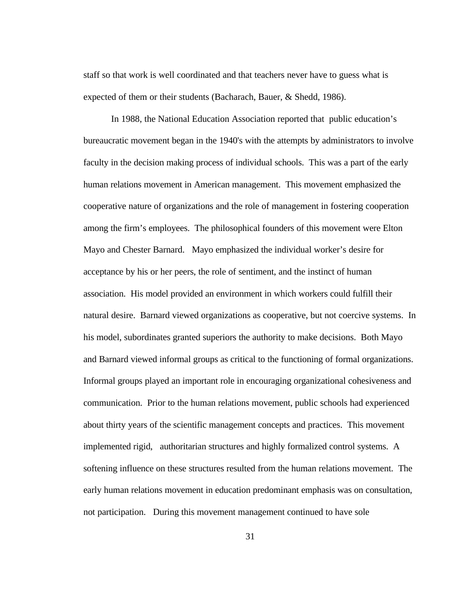staff so that work is well coordinated and that teachers never have to guess what is expected of them or their students (Bacharach, Bauer, & Shedd, 1986).

In 1988, the National Education Association reported that public education's bureaucratic movement began in the 1940's with the attempts by administrators to involve faculty in the decision making process of individual schools. This was a part of the early human relations movement in American management. This movement emphasized the cooperative nature of organizations and the role of management in fostering cooperation among the firm's employees. The philosophical founders of this movement were Elton Mayo and Chester Barnard. Mayo emphasized the individual worker's desire for acceptance by his or her peers, the role of sentiment, and the instinct of human association. His model provided an environment in which workers could fulfill their natural desire. Barnard viewed organizations as cooperative, but not coercive systems. In his model, subordinates granted superiors the authority to make decisions. Both Mayo and Barnard viewed informal groups as critical to the functioning of formal organizations. Informal groups played an important role in encouraging organizational cohesiveness and communication. Prior to the human relations movement, public schools had experienced about thirty years of the scientific management concepts and practices. This movement implemented rigid, authoritarian structures and highly formalized control systems. A softening influence on these structures resulted from the human relations movement. The early human relations movement in education predominant emphasis was on consultation, not participation. During this movement management continued to have sole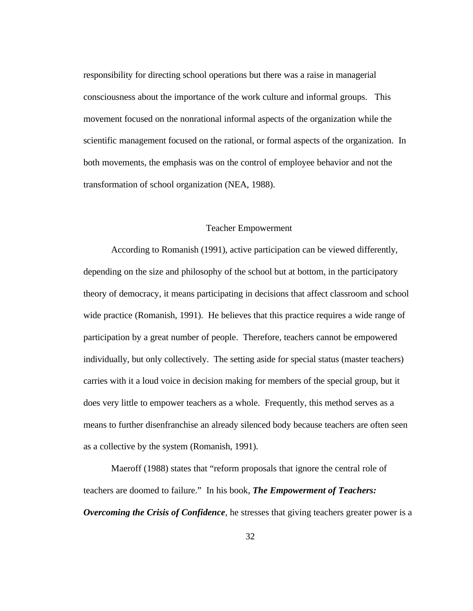responsibility for directing school operations but there was a raise in managerial consciousness about the importance of the work culture and informal groups. This movement focused on the nonrational informal aspects of the organization while the scientific management focused on the rational, or formal aspects of the organization. In both movements, the emphasis was on the control of employee behavior and not the transformation of school organization (NEA, 1988).

### Teacher Empowerment

According to Romanish (1991), active participation can be viewed differently, depending on the size and philosophy of the school but at bottom, in the participatory theory of democracy, it means participating in decisions that affect classroom and school wide practice (Romanish, 1991). He believes that this practice requires a wide range of participation by a great number of people. Therefore, teachers cannot be empowered individually, but only collectively. The setting aside for special status (master teachers) carries with it a loud voice in decision making for members of the special group, but it does very little to empower teachers as a whole. Frequently, this method serves as a means to further disenfranchise an already silenced body because teachers are often seen as a collective by the system (Romanish, 1991).

Maeroff (1988) states that "reform proposals that ignore the central role of teachers are doomed to failure." In his book, *The Empowerment of Teachers: Overcoming the Crisis of Confidence*, he stresses that giving teachers greater power is a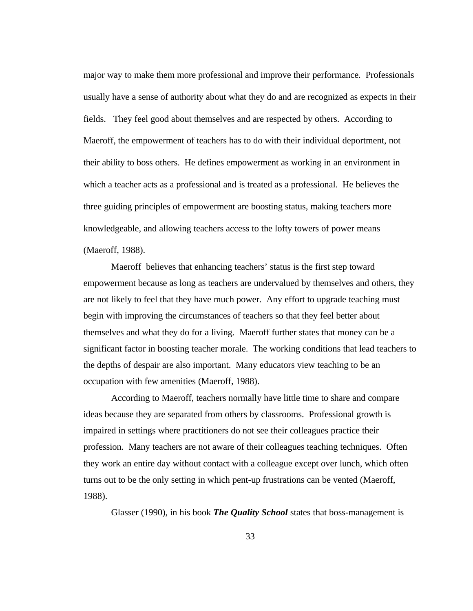major way to make them more professional and improve their performance. Professionals usually have a sense of authority about what they do and are recognized as expects in their fields. They feel good about themselves and are respected by others. According to Maeroff, the empowerment of teachers has to do with their individual deportment, not their ability to boss others. He defines empowerment as working in an environment in which a teacher acts as a professional and is treated as a professional. He believes the three guiding principles of empowerment are boosting status, making teachers more knowledgeable, and allowing teachers access to the lofty towers of power means (Maeroff, 1988).

Maeroff believes that enhancing teachers' status is the first step toward empowerment because as long as teachers are undervalued by themselves and others, they are not likely to feel that they have much power. Any effort to upgrade teaching must begin with improving the circumstances of teachers so that they feel better about themselves and what they do for a living. Maeroff further states that money can be a significant factor in boosting teacher morale. The working conditions that lead teachers to the depths of despair are also important. Many educators view teaching to be an occupation with few amenities (Maeroff, 1988).

According to Maeroff, teachers normally have little time to share and compare ideas because they are separated from others by classrooms. Professional growth is impaired in settings where practitioners do not see their colleagues practice their profession. Many teachers are not aware of their colleagues teaching techniques. Often they work an entire day without contact with a colleague except over lunch, which often turns out to be the only setting in which pent-up frustrations can be vented (Maeroff, 1988).

Glasser (1990), in his book *The Quality School* states that boss-management is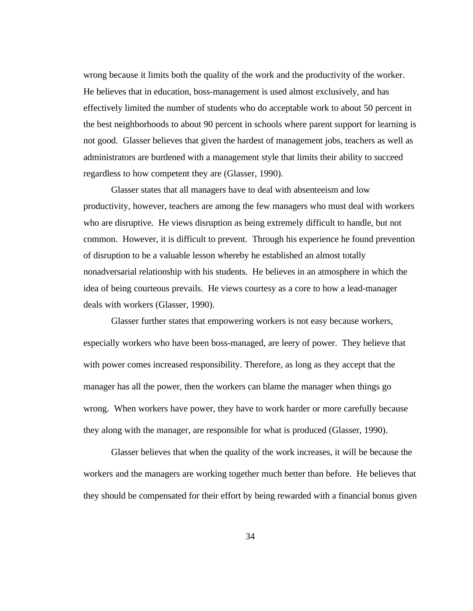wrong because it limits both the quality of the work and the productivity of the worker. He believes that in education, boss-management is used almost exclusively, and has effectively limited the number of students who do acceptable work to about 50 percent in the best neighborhoods to about 90 percent in schools where parent support for learning is not good. Glasser believes that given the hardest of management jobs, teachers as well as administrators are burdened with a management style that limits their ability to succeed regardless to how competent they are (Glasser, 1990).

Glasser states that all managers have to deal with absenteeism and low productivity, however, teachers are among the few managers who must deal with workers who are disruptive. He views disruption as being extremely difficult to handle, but not common. However, it is difficult to prevent. Through his experience he found prevention of disruption to be a valuable lesson whereby he established an almost totally nonadversarial relationship with his students. He believes in an atmosphere in which the idea of being courteous prevails. He views courtesy as a core to how a lead-manager deals with workers (Glasser, 1990).

Glasser further states that empowering workers is not easy because workers, especially workers who have been boss-managed, are leery of power. They believe that with power comes increased responsibility. Therefore, as long as they accept that the manager has all the power, then the workers can blame the manager when things go wrong. When workers have power, they have to work harder or more carefully because they along with the manager, are responsible for what is produced (Glasser, 1990).

Glasser believes that when the quality of the work increases, it will be because the workers and the managers are working together much better than before. He believes that they should be compensated for their effort by being rewarded with a financial bonus given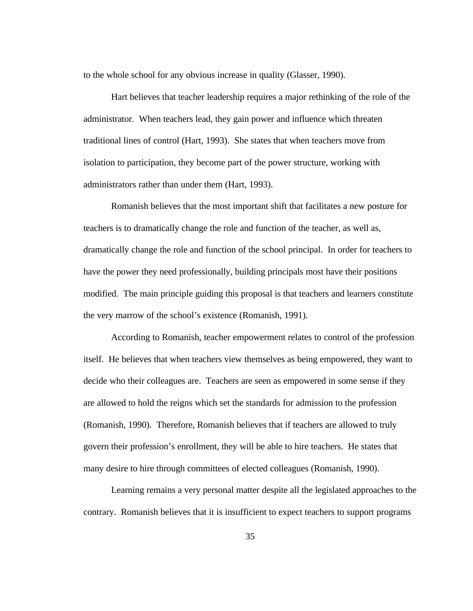to the whole school for any obvious increase in quality (Glasser, 1990).

Hart believes that teacher leadership requires a major rethinking of the role of the administrator. When teachers lead, they gain power and influence which threaten traditional lines of control (Hart, 1993). She states that when teachers move from isolation to participation, they become part of the power structure, working with administrators rather than under them (Hart, 1993).

Romanish believes that the most important shift that facilitates a new posture for teachers is to dramatically change the role and function of the teacher, as well as, dramatically change the role and function of the school principal. In order for teachers to have the power they need professionally, building principals most have their positions modified. The main principle guiding this proposal is that teachers and learners constitute the very marrow of the school's existence (Romanish, 1991).

According to Romanish, teacher empowerment relates to control of the profession itself. He believes that when teachers view themselves as being empowered, they want to decide who their colleagues are. Teachers are seen as empowered in some sense if they are allowed to hold the reigns which set the standards for admission to the profession (Romanish, 1990). Therefore, Romanish believes that if teachers are allowed to truly govern their profession's enrollment, they will be able to hire teachers. He states that many desire to hire through committees of elected colleagues (Romanish, 1990).

Learning remains a very personal matter despite all the legislated approaches to the contrary. Romanish believes that it is insufficient to expect teachers to support programs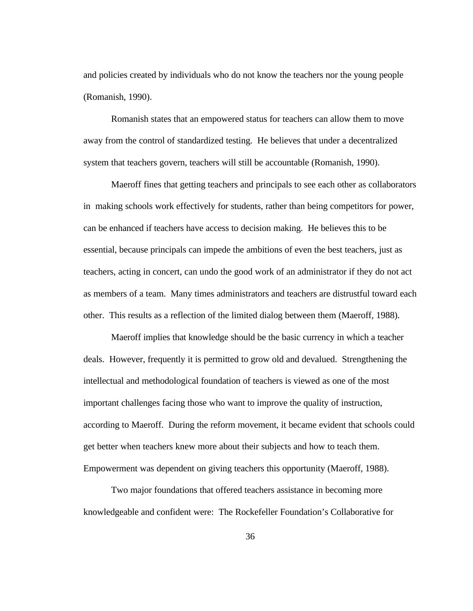and policies created by individuals who do not know the teachers nor the young people (Romanish, 1990).

Romanish states that an empowered status for teachers can allow them to move away from the control of standardized testing. He believes that under a decentralized system that teachers govern, teachers will still be accountable (Romanish, 1990).

Maeroff fines that getting teachers and principals to see each other as collaborators in making schools work effectively for students, rather than being competitors for power, can be enhanced if teachers have access to decision making. He believes this to be essential, because principals can impede the ambitions of even the best teachers, just as teachers, acting in concert, can undo the good work of an administrator if they do not act as members of a team. Many times administrators and teachers are distrustful toward each other. This results as a reflection of the limited dialog between them (Maeroff, 1988).

Maeroff implies that knowledge should be the basic currency in which a teacher deals. However, frequently it is permitted to grow old and devalued. Strengthening the intellectual and methodological foundation of teachers is viewed as one of the most important challenges facing those who want to improve the quality of instruction, according to Maeroff. During the reform movement, it became evident that schools could get better when teachers knew more about their subjects and how to teach them. Empowerment was dependent on giving teachers this opportunity (Maeroff, 1988).

Two major foundations that offered teachers assistance in becoming more knowledgeable and confident were: The Rockefeller Foundation's Collaborative for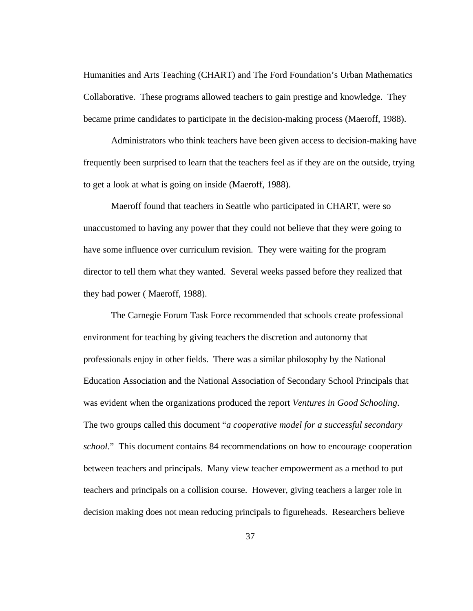Humanities and Arts Teaching (CHART) and The Ford Foundation's Urban Mathematics Collaborative. These programs allowed teachers to gain prestige and knowledge. They became prime candidates to participate in the decision-making process (Maeroff, 1988).

Administrators who think teachers have been given access to decision-making have frequently been surprised to learn that the teachers feel as if they are on the outside, trying to get a look at what is going on inside (Maeroff, 1988).

 Maeroff found that teachers in Seattle who participated in CHART, were so unaccustomed to having any power that they could not believe that they were going to have some influence over curriculum revision. They were waiting for the program director to tell them what they wanted. Several weeks passed before they realized that they had power ( Maeroff, 1988).

The Carnegie Forum Task Force recommended that schools create professional environment for teaching by giving teachers the discretion and autonomy that professionals enjoy in other fields. There was a similar philosophy by the National Education Association and the National Association of Secondary School Principals that was evident when the organizations produced the report *Ventures in Good Schooling*. The two groups called this document "*a cooperative model for a successful secondary school*." This document contains 84 recommendations on how to encourage cooperation between teachers and principals. Many view teacher empowerment as a method to put teachers and principals on a collision course. However, giving teachers a larger role in decision making does not mean reducing principals to figureheads. Researchers believe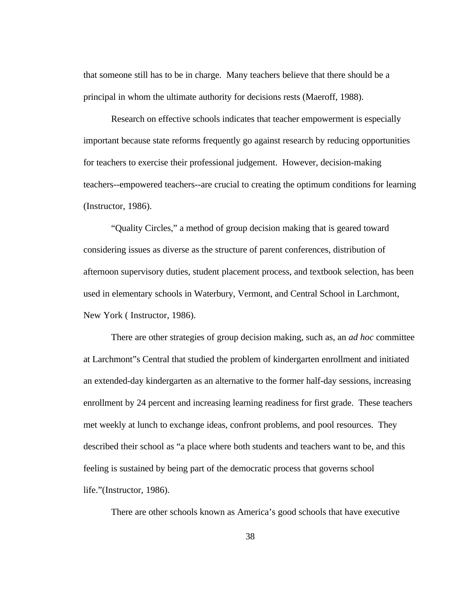that someone still has to be in charge. Many teachers believe that there should be a principal in whom the ultimate authority for decisions rests (Maeroff, 1988).

Research on effective schools indicates that teacher empowerment is especially important because state reforms frequently go against research by reducing opportunities for teachers to exercise their professional judgement. However, decision-making teachers--empowered teachers--are crucial to creating the optimum conditions for learning (Instructor, 1986).

"Quality Circles," a method of group decision making that is geared toward considering issues as diverse as the structure of parent conferences, distribution of afternoon supervisory duties, student placement process, and textbook selection, has been used in elementary schools in Waterbury, Vermont, and Central School in Larchmont, New York ( Instructor, 1986).

There are other strategies of group decision making, such as, an *ad hoc* committee at Larchmont"s Central that studied the problem of kindergarten enrollment and initiated an extended-day kindergarten as an alternative to the former half-day sessions, increasing enrollment by 24 percent and increasing learning readiness for first grade. These teachers met weekly at lunch to exchange ideas, confront problems, and pool resources. They described their school as "a place where both students and teachers want to be, and this feeling is sustained by being part of the democratic process that governs school life."(Instructor, 1986).

There are other schools known as America's good schools that have executive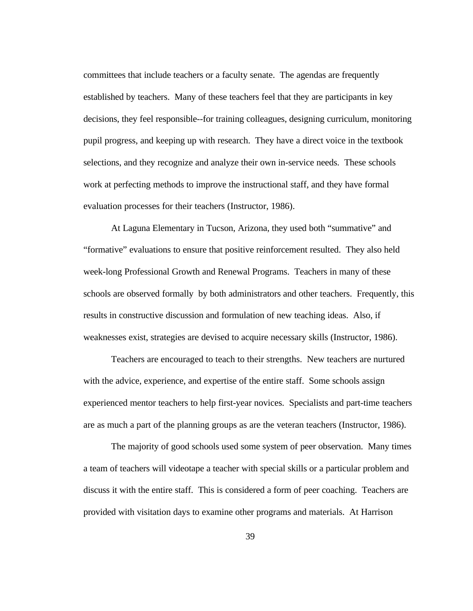committees that include teachers or a faculty senate. The agendas are frequently established by teachers. Many of these teachers feel that they are participants in key decisions, they feel responsible--for training colleagues, designing curriculum, monitoring pupil progress, and keeping up with research. They have a direct voice in the textbook selections, and they recognize and analyze their own in-service needs. These schools work at perfecting methods to improve the instructional staff, and they have formal evaluation processes for their teachers (Instructor, 1986).

At Laguna Elementary in Tucson, Arizona, they used both "summative" and "formative" evaluations to ensure that positive reinforcement resulted. They also held week-long Professional Growth and Renewal Programs. Teachers in many of these schools are observed formally by both administrators and other teachers. Frequently, this results in constructive discussion and formulation of new teaching ideas. Also, if weaknesses exist, strategies are devised to acquire necessary skills (Instructor, 1986).

Teachers are encouraged to teach to their strengths. New teachers are nurtured with the advice, experience, and expertise of the entire staff. Some schools assign experienced mentor teachers to help first-year novices. Specialists and part-time teachers are as much a part of the planning groups as are the veteran teachers (Instructor, 1986).

The majority of good schools used some system of peer observation. Many times a team of teachers will videotape a teacher with special skills or a particular problem and discuss it with the entire staff. This is considered a form of peer coaching. Teachers are provided with visitation days to examine other programs and materials. At Harrison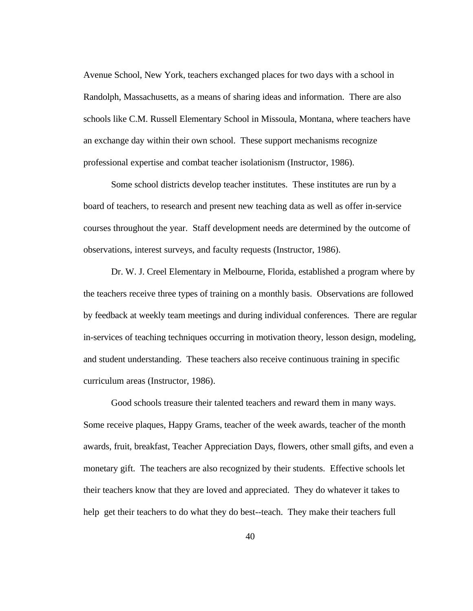Avenue School, New York, teachers exchanged places for two days with a school in Randolph, Massachusetts, as a means of sharing ideas and information. There are also schools like C.M. Russell Elementary School in Missoula, Montana, where teachers have an exchange day within their own school. These support mechanisms recognize professional expertise and combat teacher isolationism (Instructor, 1986).

Some school districts develop teacher institutes. These institutes are run by a board of teachers, to research and present new teaching data as well as offer in-service courses throughout the year. Staff development needs are determined by the outcome of observations, interest surveys, and faculty requests (Instructor, 1986).

Dr. W. J. Creel Elementary in Melbourne, Florida, established a program where by the teachers receive three types of training on a monthly basis. Observations are followed by feedback at weekly team meetings and during individual conferences. There are regular in-services of teaching techniques occurring in motivation theory, lesson design, modeling, and student understanding. These teachers also receive continuous training in specific curriculum areas (Instructor, 1986).

Good schools treasure their talented teachers and reward them in many ways. Some receive plaques, Happy Grams, teacher of the week awards, teacher of the month awards, fruit, breakfast, Teacher Appreciation Days, flowers, other small gifts, and even a monetary gift. The teachers are also recognized by their students. Effective schools let their teachers know that they are loved and appreciated. They do whatever it takes to help get their teachers to do what they do best--teach. They make their teachers full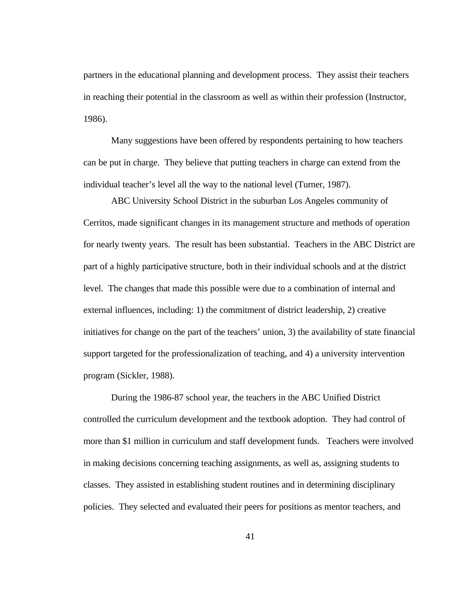partners in the educational planning and development process. They assist their teachers in reaching their potential in the classroom as well as within their profession (Instructor, 1986).

Many suggestions have been offered by respondents pertaining to how teachers can be put in charge. They believe that putting teachers in charge can extend from the individual teacher's level all the way to the national level (Turner, 1987).

ABC University School District in the suburban Los Angeles community of Cerritos, made significant changes in its management structure and methods of operation for nearly twenty years. The result has been substantial. Teachers in the ABC District are part of a highly participative structure, both in their individual schools and at the district level. The changes that made this possible were due to a combination of internal and external influences, including: 1) the commitment of district leadership, 2) creative initiatives for change on the part of the teachers' union, 3) the availability of state financial support targeted for the professionalization of teaching, and 4) a university intervention program (Sickler, 1988).

During the 1986-87 school year, the teachers in the ABC Unified District controlled the curriculum development and the textbook adoption. They had control of more than \$1 million in curriculum and staff development funds. Teachers were involved in making decisions concerning teaching assignments, as well as, assigning students to classes. They assisted in establishing student routines and in determining disciplinary policies. They selected and evaluated their peers for positions as mentor teachers, and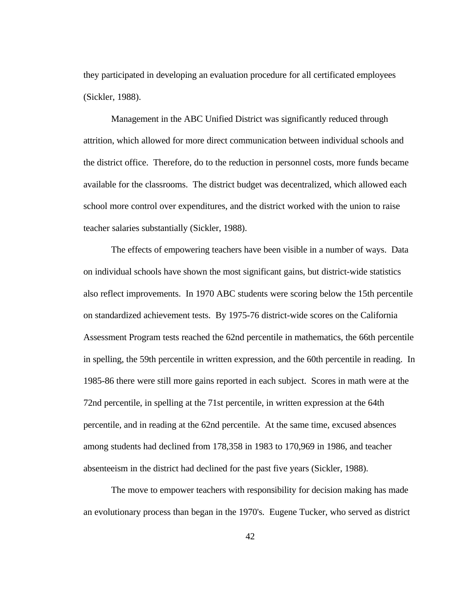they participated in developing an evaluation procedure for all certificated employees (Sickler, 1988).

Management in the ABC Unified District was significantly reduced through attrition, which allowed for more direct communication between individual schools and the district office. Therefore, do to the reduction in personnel costs, more funds became available for the classrooms. The district budget was decentralized, which allowed each school more control over expenditures, and the district worked with the union to raise teacher salaries substantially (Sickler, 1988).

The effects of empowering teachers have been visible in a number of ways. Data on individual schools have shown the most significant gains, but district-wide statistics also reflect improvements. In 1970 ABC students were scoring below the 15th percentile on standardized achievement tests. By 1975-76 district-wide scores on the California Assessment Program tests reached the 62nd percentile in mathematics, the 66th percentile in spelling, the 59th percentile in written expression, and the 60th percentile in reading. In 1985-86 there were still more gains reported in each subject. Scores in math were at the 72nd percentile, in spelling at the 71st percentile, in written expression at the 64th percentile, and in reading at the 62nd percentile. At the same time, excused absences among students had declined from 178,358 in 1983 to 170,969 in 1986, and teacher absenteeism in the district had declined for the past five years (Sickler, 1988).

The move to empower teachers with responsibility for decision making has made an evolutionary process than began in the 1970's. Eugene Tucker, who served as district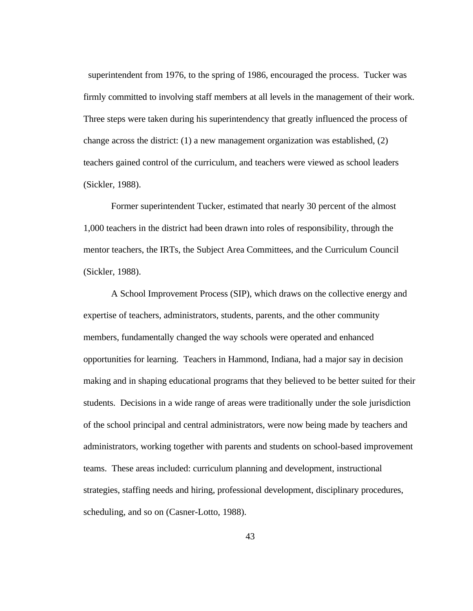superintendent from 1976, to the spring of 1986, encouraged the process. Tucker was firmly committed to involving staff members at all levels in the management of their work. Three steps were taken during his superintendency that greatly influenced the process of change across the district: (1) a new management organization was established, (2) teachers gained control of the curriculum, and teachers were viewed as school leaders (Sickler, 1988).

Former superintendent Tucker, estimated that nearly 30 percent of the almost 1,000 teachers in the district had been drawn into roles of responsibility, through the mentor teachers, the IRTs, the Subject Area Committees, and the Curriculum Council (Sickler, 1988).

A School Improvement Process (SIP), which draws on the collective energy and expertise of teachers, administrators, students, parents, and the other community members, fundamentally changed the way schools were operated and enhanced opportunities for learning. Teachers in Hammond, Indiana, had a major say in decision making and in shaping educational programs that they believed to be better suited for their students. Decisions in a wide range of areas were traditionally under the sole jurisdiction of the school principal and central administrators, were now being made by teachers and administrators, working together with parents and students on school-based improvement teams. These areas included: curriculum planning and development, instructional strategies, staffing needs and hiring, professional development, disciplinary procedures, scheduling, and so on (Casner-Lotto, 1988).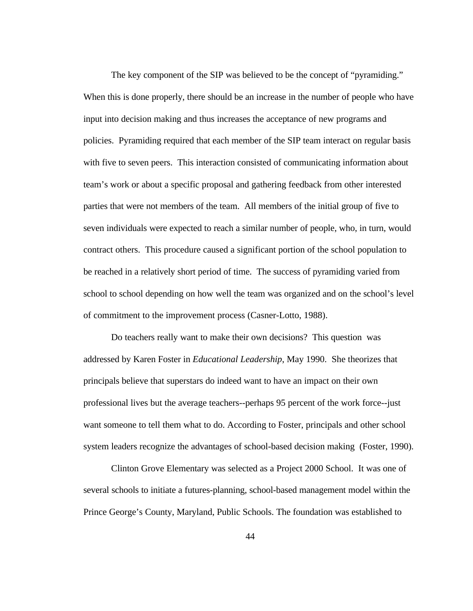The key component of the SIP was believed to be the concept of "pyramiding." When this is done properly, there should be an increase in the number of people who have input into decision making and thus increases the acceptance of new programs and policies. Pyramiding required that each member of the SIP team interact on regular basis with five to seven peers. This interaction consisted of communicating information about team's work or about a specific proposal and gathering feedback from other interested parties that were not members of the team. All members of the initial group of five to seven individuals were expected to reach a similar number of people, who, in turn, would contract others. This procedure caused a significant portion of the school population to be reached in a relatively short period of time. The success of pyramiding varied from school to school depending on how well the team was organized and on the school's level of commitment to the improvement process (Casner-Lotto, 1988).

Do teachers really want to make their own decisions? This question was addressed by Karen Foster in *Educational Leadership*, May 1990. She theorizes that principals believe that superstars do indeed want to have an impact on their own professional lives but the average teachers--perhaps 95 percent of the work force--just want someone to tell them what to do. According to Foster, principals and other school system leaders recognize the advantages of school-based decision making (Foster, 1990).

 Clinton Grove Elementary was selected as a Project 2000 School. It was one of several schools to initiate a futures-planning, school-based management model within the Prince George's County, Maryland, Public Schools. The foundation was established to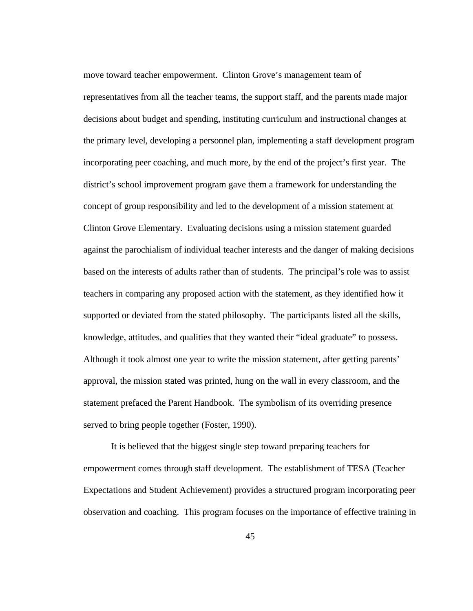move toward teacher empowerment. Clinton Grove's management team of representatives from all the teacher teams, the support staff, and the parents made major decisions about budget and spending, instituting curriculum and instructional changes at the primary level, developing a personnel plan, implementing a staff development program incorporating peer coaching, and much more, by the end of the project's first year. The district's school improvement program gave them a framework for understanding the concept of group responsibility and led to the development of a mission statement at Clinton Grove Elementary. Evaluating decisions using a mission statement guarded against the parochialism of individual teacher interests and the danger of making decisions based on the interests of adults rather than of students. The principal's role was to assist teachers in comparing any proposed action with the statement, as they identified how it supported or deviated from the stated philosophy. The participants listed all the skills, knowledge, attitudes, and qualities that they wanted their "ideal graduate" to possess. Although it took almost one year to write the mission statement, after getting parents' approval, the mission stated was printed, hung on the wall in every classroom, and the statement prefaced the Parent Handbook. The symbolism of its overriding presence served to bring people together (Foster, 1990).

It is believed that the biggest single step toward preparing teachers for empowerment comes through staff development. The establishment of TESA (Teacher Expectations and Student Achievement) provides a structured program incorporating peer observation and coaching. This program focuses on the importance of effective training in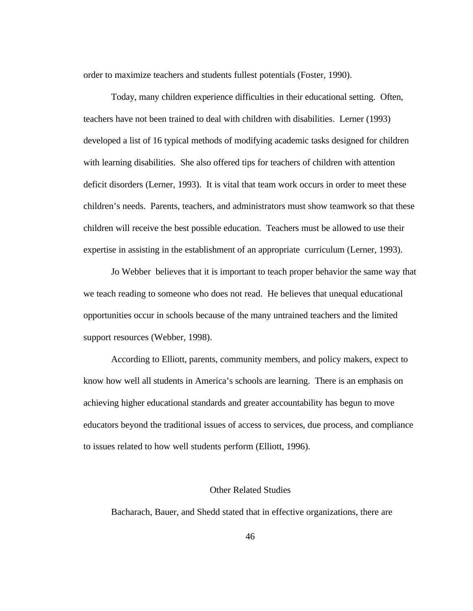order to maximize teachers and students fullest potentials (Foster, 1990).

Today, many children experience difficulties in their educational setting. Often, teachers have not been trained to deal with children with disabilities. Lerner (1993) developed a list of 16 typical methods of modifying academic tasks designed for children with learning disabilities. She also offered tips for teachers of children with attention deficit disorders (Lerner, 1993). It is vital that team work occurs in order to meet these children's needs. Parents, teachers, and administrators must show teamwork so that these children will receive the best possible education. Teachers must be allowed to use their expertise in assisting in the establishment of an appropriate curriculum (Lerner, 1993).

Jo Webber believes that it is important to teach proper behavior the same way that we teach reading to someone who does not read. He believes that unequal educational opportunities occur in schools because of the many untrained teachers and the limited support resources (Webber, 1998).

According to Elliott, parents, community members, and policy makers, expect to know how well all students in America's schools are learning. There is an emphasis on achieving higher educational standards and greater accountability has begun to move educators beyond the traditional issues of access to services, due process, and compliance to issues related to how well students perform (Elliott, 1996).

# Other Related Studies

Bacharach, Bauer, and Shedd stated that in effective organizations, there are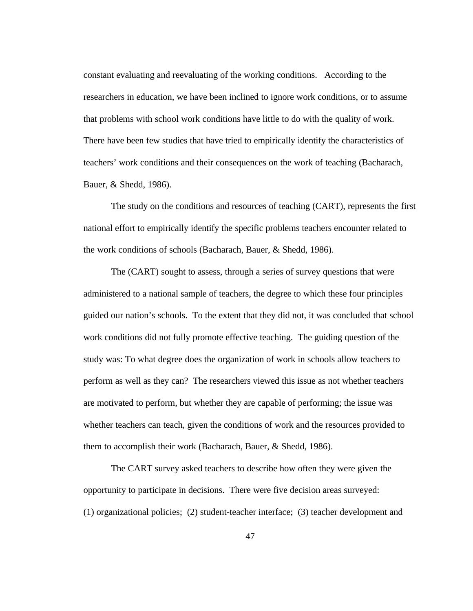constant evaluating and reevaluating of the working conditions. According to the researchers in education, we have been inclined to ignore work conditions, or to assume that problems with school work conditions have little to do with the quality of work. There have been few studies that have tried to empirically identify the characteristics of teachers' work conditions and their consequences on the work of teaching (Bacharach, Bauer, & Shedd, 1986).

The study on the conditions and resources of teaching (CART), represents the first national effort to empirically identify the specific problems teachers encounter related to the work conditions of schools (Bacharach, Bauer, & Shedd, 1986).

The (CART) sought to assess, through a series of survey questions that were administered to a national sample of teachers, the degree to which these four principles guided our nation's schools. To the extent that they did not, it was concluded that school work conditions did not fully promote effective teaching. The guiding question of the study was: To what degree does the organization of work in schools allow teachers to perform as well as they can? The researchers viewed this issue as not whether teachers are motivated to perform, but whether they are capable of performing; the issue was whether teachers can teach, given the conditions of work and the resources provided to them to accomplish their work (Bacharach, Bauer, & Shedd, 1986).

The CART survey asked teachers to describe how often they were given the opportunity to participate in decisions. There were five decision areas surveyed: (1) organizational policies; (2) student-teacher interface; (3) teacher development and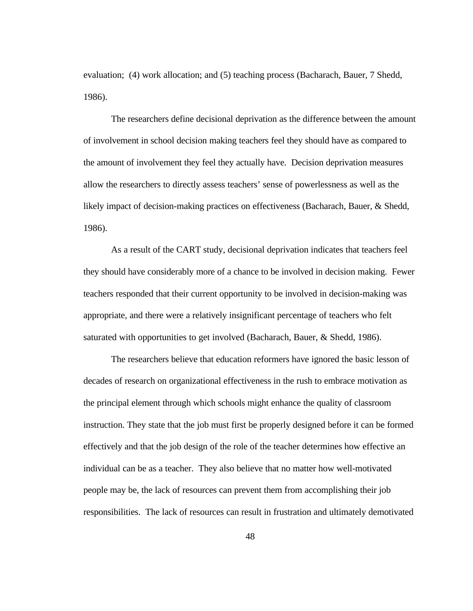evaluation; (4) work allocation; and (5) teaching process (Bacharach, Bauer, 7 Shedd, 1986).

The researchers define decisional deprivation as the difference between the amount of involvement in school decision making teachers feel they should have as compared to the amount of involvement they feel they actually have. Decision deprivation measures allow the researchers to directly assess teachers' sense of powerlessness as well as the likely impact of decision-making practices on effectiveness (Bacharach, Bauer, & Shedd, 1986).

As a result of the CART study, decisional deprivation indicates that teachers feel they should have considerably more of a chance to be involved in decision making. Fewer teachers responded that their current opportunity to be involved in decision-making was appropriate, and there were a relatively insignificant percentage of teachers who felt saturated with opportunities to get involved (Bacharach, Bauer, & Shedd, 1986).

The researchers believe that education reformers have ignored the basic lesson of decades of research on organizational effectiveness in the rush to embrace motivation as the principal element through which schools might enhance the quality of classroom instruction. They state that the job must first be properly designed before it can be formed effectively and that the job design of the role of the teacher determines how effective an individual can be as a teacher. They also believe that no matter how well-motivated people may be, the lack of resources can prevent them from accomplishing their job responsibilities. The lack of resources can result in frustration and ultimately demotivated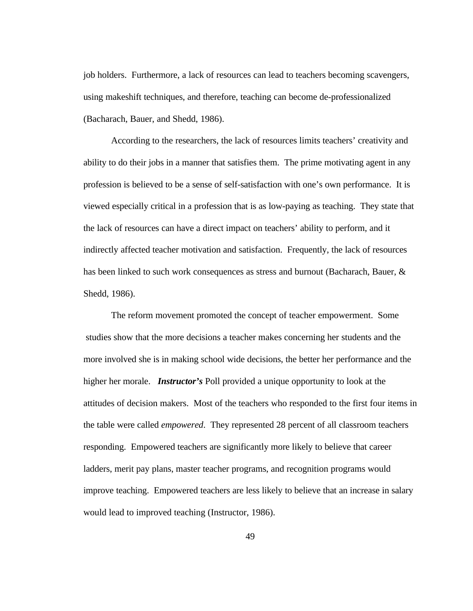job holders. Furthermore, a lack of resources can lead to teachers becoming scavengers, using makeshift techniques, and therefore, teaching can become de-professionalized (Bacharach, Bauer, and Shedd, 1986).

According to the researchers, the lack of resources limits teachers' creativity and ability to do their jobs in a manner that satisfies them. The prime motivating agent in any profession is believed to be a sense of self-satisfaction with one's own performance. It is viewed especially critical in a profession that is as low-paying as teaching. They state that the lack of resources can have a direct impact on teachers' ability to perform, and it indirectly affected teacher motivation and satisfaction. Frequently, the lack of resources has been linked to such work consequences as stress and burnout (Bacharach, Bauer, & Shedd, 1986).

The reform movement promoted the concept of teacher empowerment. Some studies show that the more decisions a teacher makes concerning her students and the more involved she is in making school wide decisions, the better her performance and the higher her morale. *Instructor's* Poll provided a unique opportunity to look at the attitudes of decision makers. Most of the teachers who responded to the first four items in the table were called *empowered*. They represented 28 percent of all classroom teachers responding. Empowered teachers are significantly more likely to believe that career ladders, merit pay plans, master teacher programs, and recognition programs would improve teaching. Empowered teachers are less likely to believe that an increase in salary would lead to improved teaching (Instructor, 1986).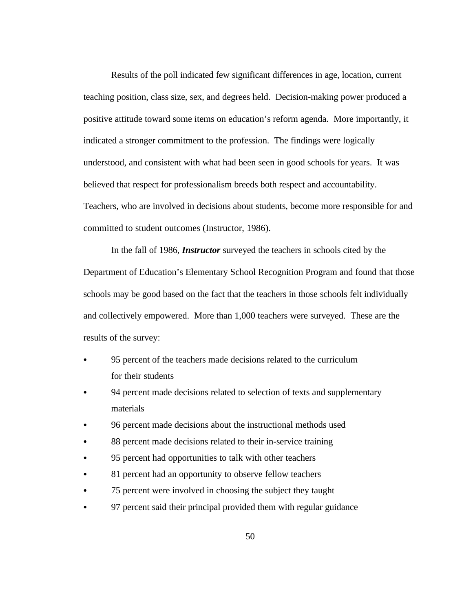Results of the poll indicated few significant differences in age, location, current teaching position, class size, sex, and degrees held. Decision-making power produced a positive attitude toward some items on education's reform agenda. More importantly, it indicated a stronger commitment to the profession. The findings were logically understood, and consistent with what had been seen in good schools for years. It was believed that respect for professionalism breeds both respect and accountability. Teachers, who are involved in decisions about students, become more responsible for and committed to student outcomes (Instructor, 1986).

In the fall of 1986, *Instructor* surveyed the teachers in schools cited by the Department of Education's Elementary School Recognition Program and found that those schools may be good based on the fact that the teachers in those schools felt individually and collectively empowered. More than 1,000 teachers were surveyed. These are the results of the survey:

- 95 percent of the teachers made decisions related to the curriculum for their students
- 94 percent made decisions related to selection of texts and supplementary materials
- 96 percent made decisions about the instructional methods used
- 88 percent made decisions related to their in-service training
- 95 percent had opportunities to talk with other teachers
- 81 percent had an opportunity to observe fellow teachers
- 75 percent were involved in choosing the subject they taught
- 97 percent said their principal provided them with regular guidance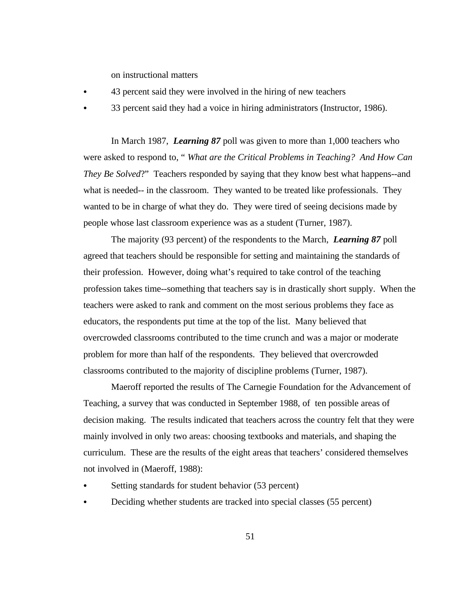on instructional matters

- 43 percent said they were involved in the hiring of new teachers
- 33 percent said they had a voice in hiring administrators (Instructor, 1986).

In March 1987, *Learning 87* poll was given to more than 1,000 teachers who were asked to respond to, " *What are the Critical Problems in Teaching? And How Can They Be Solved*?" Teachers responded by saying that they know best what happens--and what is needed-- in the classroom. They wanted to be treated like professionals. They wanted to be in charge of what they do. They were tired of seeing decisions made by people whose last classroom experience was as a student (Turner, 1987).

The majority (93 percent) of the respondents to the March, *Learning 87* poll agreed that teachers should be responsible for setting and maintaining the standards of their profession. However, doing what's required to take control of the teaching profession takes time--something that teachers say is in drastically short supply. When the teachers were asked to rank and comment on the most serious problems they face as educators, the respondents put time at the top of the list. Many believed that overcrowded classrooms contributed to the time crunch and was a major or moderate problem for more than half of the respondents. They believed that overcrowded classrooms contributed to the majority of discipline problems (Turner, 1987).

Maeroff reported the results of The Carnegie Foundation for the Advancement of Teaching, a survey that was conducted in September 1988, of ten possible areas of decision making. The results indicated that teachers across the country felt that they were mainly involved in only two areas: choosing textbooks and materials, and shaping the curriculum. These are the results of the eight areas that teachers' considered themselves not involved in (Maeroff, 1988):

- Setting standards for student behavior (53 percent)
- Deciding whether students are tracked into special classes (55 percent)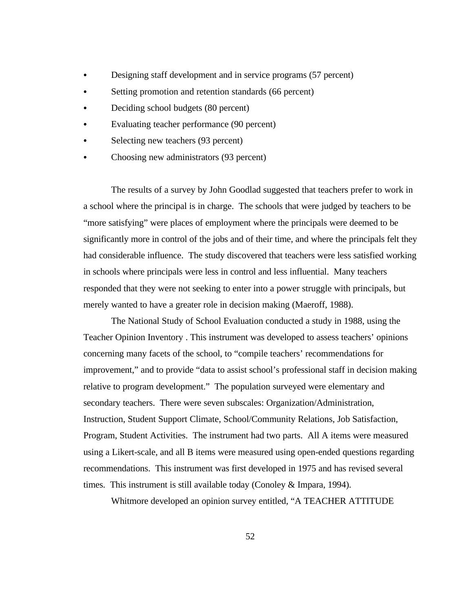- Designing staff development and in service programs (57 percent)
- Setting promotion and retention standards (66 percent)
- Deciding school budgets (80 percent)
- Evaluating teacher performance (90 percent)
- Selecting new teachers (93 percent)
- Choosing new administrators (93 percent)

The results of a survey by John Goodlad suggested that teachers prefer to work in a school where the principal is in charge. The schools that were judged by teachers to be "more satisfying" were places of employment where the principals were deemed to be significantly more in control of the jobs and of their time, and where the principals felt they had considerable influence. The study discovered that teachers were less satisfied working in schools where principals were less in control and less influential. Many teachers responded that they were not seeking to enter into a power struggle with principals, but merely wanted to have a greater role in decision making (Maeroff, 1988).

The National Study of School Evaluation conducted a study in 1988, using the Teacher Opinion Inventory . This instrument was developed to assess teachers' opinions concerning many facets of the school, to "compile teachers' recommendations for improvement," and to provide "data to assist school's professional staff in decision making relative to program development." The population surveyed were elementary and secondary teachers. There were seven subscales: Organization/Administration, Instruction, Student Support Climate, School/Community Relations, Job Satisfaction, Program, Student Activities. The instrument had two parts. All A items were measured using a Likert-scale, and all B items were measured using open-ended questions regarding recommendations. This instrument was first developed in 1975 and has revised several times. This instrument is still available today (Conoley & Impara, 1994).

Whitmore developed an opinion survey entitled, "A TEACHER ATTITUDE